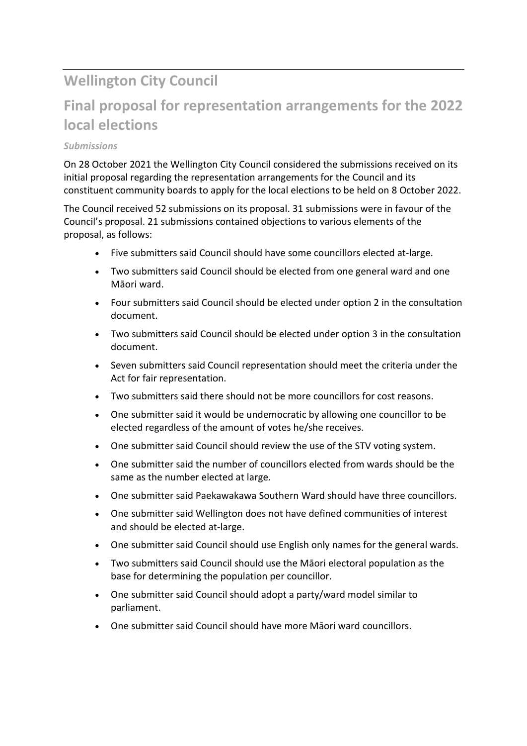# **Wellington City Council**

## **Final proposal for representation arrangements for the 2022 local elections**

## *Submissions*

On 28 October 2021 the Wellington City Council considered the submissions received on its initial proposal regarding the representation arrangements for the Council and its constituent community boards to apply for the local elections to be held on 8 October 2022.

The Council received 52 submissions on its proposal. 31 submissions were in favour of the Council's proposal. 21 submissions contained objections to various elements of the proposal, as follows:

- Five submitters said Council should have some councillors elected at-large.
- Two submitters said Council should be elected from one general ward and one Māori ward.
- Four submitters said Council should be elected under option 2 in the consultation document.
- Two submitters said Council should be elected under option 3 in the consultation document.
- Seven submitters said Council representation should meet the criteria under the Act for fair representation.
- Two submitters said there should not be more councillors for cost reasons.
- One submitter said it would be undemocratic by allowing one councillor to be elected regardless of the amount of votes he/she receives.
- One submitter said Council should review the use of the STV voting system.
- One submitter said the number of councillors elected from wards should be the same as the number elected at large.
- One submitter said Paekawakawa Southern Ward should have three councillors.
- One submitter said Wellington does not have defined communities of interest and should be elected at-large.
- One submitter said Council should use English only names for the general wards.
- Two submitters said Council should use the Māori electoral population as the base for determining the population per councillor.
- One submitter said Council should adopt a party/ward model similar to parliament.
- One submitter said Council should have more Māori ward councillors.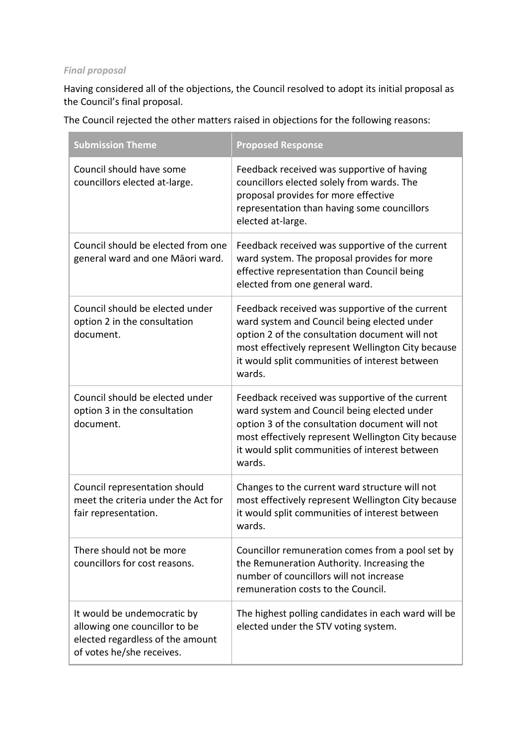## *Final proposal*

Having considered all of the objections, the Council resolved to adopt its initial proposal as the Council's final proposal.

The Council rejected the other matters raised in objections for the following reasons:

| <b>Submission Theme</b>                                                                                                       | <b>Proposed Response</b>                                                                                                                                                                                                                                           |  |
|-------------------------------------------------------------------------------------------------------------------------------|--------------------------------------------------------------------------------------------------------------------------------------------------------------------------------------------------------------------------------------------------------------------|--|
| Council should have some<br>councillors elected at-large.                                                                     | Feedback received was supportive of having<br>councillors elected solely from wards. The<br>proposal provides for more effective<br>representation than having some councillors<br>elected at-large.                                                               |  |
| Council should be elected from one<br>general ward and one Māori ward.                                                        | Feedback received was supportive of the current<br>ward system. The proposal provides for more<br>effective representation than Council being<br>elected from one general ward.                                                                                    |  |
| Council should be elected under<br>option 2 in the consultation<br>document.                                                  | Feedback received was supportive of the current<br>ward system and Council being elected under<br>option 2 of the consultation document will not<br>most effectively represent Wellington City because<br>it would split communities of interest between<br>wards. |  |
| Council should be elected under<br>option 3 in the consultation<br>document.                                                  | Feedback received was supportive of the current<br>ward system and Council being elected under<br>option 3 of the consultation document will not<br>most effectively represent Wellington City because<br>it would split communities of interest between<br>wards. |  |
| Council representation should<br>meet the criteria under the Act for<br>fair representation.                                  | Changes to the current ward structure will not<br>most effectively represent Wellington City because<br>it would split communities of interest between<br>wards.                                                                                                   |  |
| There should not be more<br>councillors for cost reasons.                                                                     | Councillor remuneration comes from a pool set by<br>the Remuneration Authority. Increasing the<br>number of councillors will not increase<br>remuneration costs to the Council.                                                                                    |  |
| It would be undemocratic by<br>allowing one councillor to be<br>elected regardless of the amount<br>of votes he/she receives. | The highest polling candidates in each ward will be<br>elected under the STV voting system.                                                                                                                                                                        |  |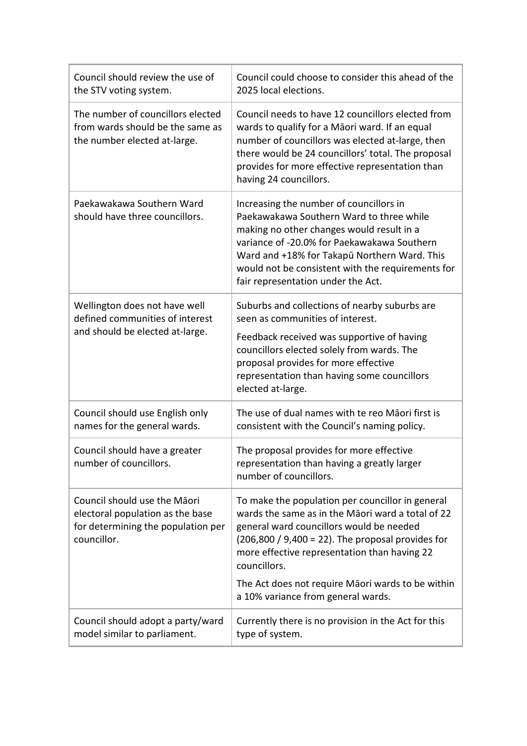| Council should review the use of<br>the STV voting system.                                                            | Council could choose to consider this ahead of the<br>2025 local elections.                                                                                                                                                                                                                                                                                          |
|-----------------------------------------------------------------------------------------------------------------------|----------------------------------------------------------------------------------------------------------------------------------------------------------------------------------------------------------------------------------------------------------------------------------------------------------------------------------------------------------------------|
| The number of councillors elected<br>from wards should be the same as<br>the number elected at-large.                 | Council needs to have 12 councillors elected from<br>wards to qualify for a Māori ward. If an equal<br>number of councillors was elected at-large, then<br>there would be 24 councillors' total. The proposal<br>provides for more effective representation than<br>having 24 councillors.                                                                           |
| Paekawakawa Southern Ward<br>should have three councillors.                                                           | Increasing the number of councillors in<br>Paekawakawa Southern Ward to three while<br>making no other changes would result in a<br>variance of -20.0% for Paekawakawa Southern<br>Ward and +18% for Takapū Northern Ward. This<br>would not be consistent with the requirements for<br>fair representation under the Act.                                           |
| Wellington does not have well<br>defined communities of interest<br>and should be elected at-large.                   | Suburbs and collections of nearby suburbs are<br>seen as communities of interest.<br>Feedback received was supportive of having<br>councillors elected solely from wards. The<br>proposal provides for more effective<br>representation than having some councillors<br>elected at-large.                                                                            |
| Council should use English only<br>names for the general wards.                                                       | The use of dual names with te reo Māori first is<br>consistent with the Council's naming policy.                                                                                                                                                                                                                                                                     |
| Council should have a greater<br>number of councillors.                                                               | The proposal provides for more effective<br>representation than having a greatly larger<br>number of councillors.                                                                                                                                                                                                                                                    |
| Council should use the Māori<br>electoral population as the base<br>for determining the population per<br>councillor. | To make the population per councillor in general<br>wards the same as in the Maori ward a total of 22<br>general ward councillors would be needed<br>$(206,800 / 9,400 = 22)$ . The proposal provides for<br>more effective representation than having 22<br>councillors.<br>The Act does not require Māori wards to be within<br>a 10% variance from general wards. |
| Council should adopt a party/ward<br>model similar to parliament.                                                     | Currently there is no provision in the Act for this<br>type of system.                                                                                                                                                                                                                                                                                               |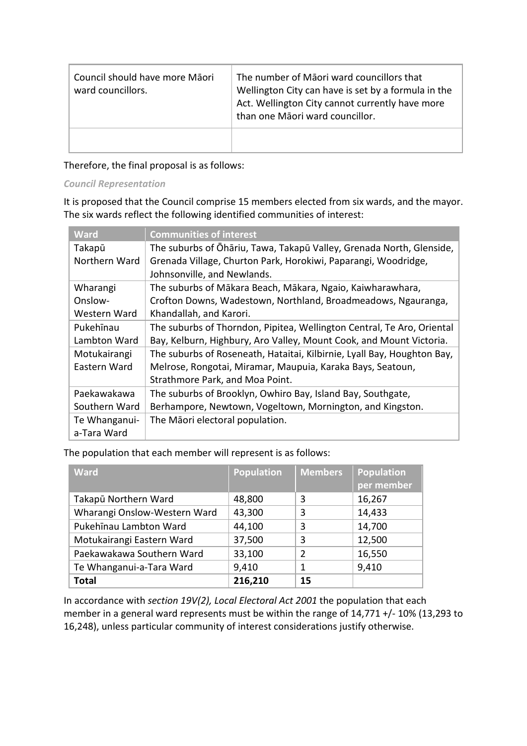| Council should have more Māori<br>ward councillors. | The number of Māori ward councillors that<br>Wellington City can have is set by a formula in the<br>Act. Wellington City cannot currently have more<br>than one Māori ward councillor. |
|-----------------------------------------------------|----------------------------------------------------------------------------------------------------------------------------------------------------------------------------------------|
|                                                     |                                                                                                                                                                                        |

Therefore, the final proposal is as follows:

*Council Representation*

It is proposed that the Council comprise 15 members elected from six wards, and the mayor. The six wards reflect the following identified communities of interest:

| <b>Ward</b>   | <b>Communities of interest</b>                                          |
|---------------|-------------------------------------------------------------------------|
| Takapū        | The suburbs of Ōhāriu, Tawa, Takapū Valley, Grenada North, Glenside,    |
| Northern Ward | Grenada Village, Churton Park, Horokiwi, Paparangi, Woodridge,          |
|               | Johnsonville, and Newlands.                                             |
| Wharangi      | The suburbs of Mākara Beach, Mākara, Ngaio, Kaiwharawhara,              |
| Onslow-       | Crofton Downs, Wadestown, Northland, Broadmeadows, Ngauranga,           |
| Western Ward  | Khandallah, and Karori.                                                 |
| Pukehīnau     | The suburbs of Thorndon, Pipitea, Wellington Central, Te Aro, Oriental  |
| Lambton Ward  | Bay, Kelburn, Highbury, Aro Valley, Mount Cook, and Mount Victoria.     |
| Motukairangi  | The suburbs of Roseneath, Hataitai, Kilbirnie, Lyall Bay, Houghton Bay, |
| Eastern Ward  | Melrose, Rongotai, Miramar, Maupuia, Karaka Bays, Seatoun,              |
|               | Strathmore Park, and Moa Point.                                         |
| Paekawakawa   | The suburbs of Brooklyn, Owhiro Bay, Island Bay, Southgate,             |
| Southern Ward | Berhampore, Newtown, Vogeltown, Mornington, and Kingston.               |
| Te Whanganui- | The Māori electoral population.                                         |
| a-Tara Ward   |                                                                         |

The population that each member will represent is as follows:

| <b>Ward</b>                  | <b>Population</b> | <b>Members</b> | <b>Population</b><br>per member |
|------------------------------|-------------------|----------------|---------------------------------|
| Takapū Northern Ward         | 48,800            | 3              | 16,267                          |
| Wharangi Onslow-Western Ward | 43,300            | 3              | 14,433                          |
| Pukehīnau Lambton Ward       | 44,100            | 3              | 14,700                          |
| Motukairangi Eastern Ward    | 37,500            | 3              | 12,500                          |
| Paekawakawa Southern Ward    | 33,100            | 2              | 16,550                          |
| Te Whanganui-a-Tara Ward     | 9,410             | 1              | 9,410                           |
| <b>Total</b>                 | 216,210           | 15             |                                 |

In accordance with *section 19V(2), Local Electoral Act 2001* the population that each member in a general ward represents must be within the range of 14,771 +/- 10% (13,293 to 16,248), unless particular community of interest considerations justify otherwise.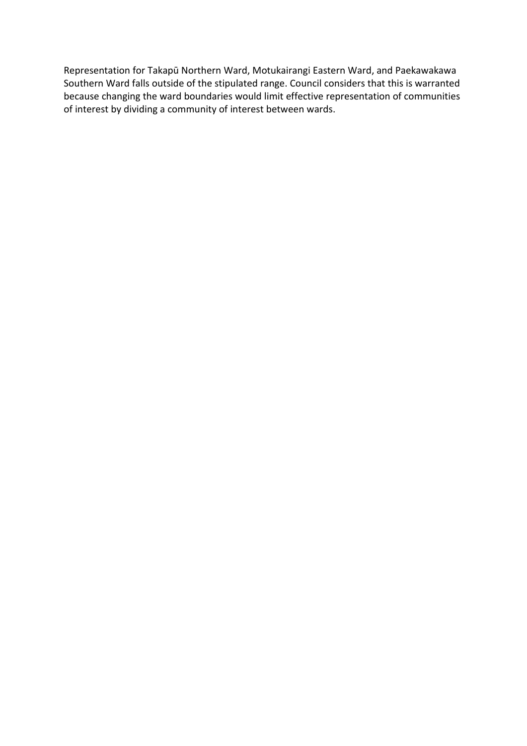Representation for Takapū Northern Ward, Motukairangi Eastern Ward, and Paekawakawa Southern Ward falls outside of the stipulated range. Council considers that this is warranted because changing the ward boundaries would limit effective representation of communities of interest by dividing a community of interest between wards.